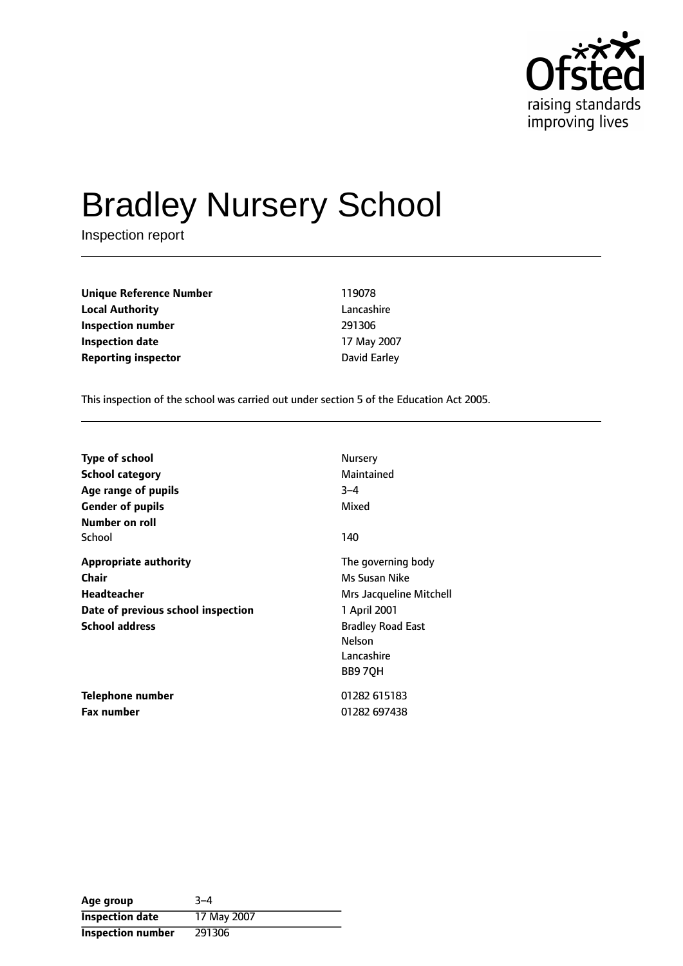

# Bradley Nursery School

Inspection report

| 119078       |
|--------------|
| Lancashire   |
| 291306       |
| 17 May 2007  |
| David Earley |
|              |

This inspection of the school was carried out under section 5 of the Education Act 2005.

| <b>Type of school</b>              | Nursery                  |
|------------------------------------|--------------------------|
| <b>School category</b>             | Maintained               |
| Age range of pupils                | $3 - 4$                  |
| <b>Gender of pupils</b>            | Mixed                    |
| Number on roll                     |                          |
| School                             | 140                      |
| <b>Appropriate authority</b>       | The governing body       |
| Chair                              | Ms Susan Nike            |
| <b>Headteacher</b>                 | Mrs Jacqueline Mitchell  |
| Date of previous school inspection | 1 April 2001             |
| <b>School address</b>              | <b>Bradley Road East</b> |
|                                    | Nelson                   |
|                                    | Lancashire               |
|                                    | BB97QH                   |
| <b>Telephone number</b>            | 01282 615183             |
| Fax number                         | 01282 697438             |

| Age group                | $3 - 4$     |
|--------------------------|-------------|
| <b>Inspection date</b>   | 17 May 2007 |
| <b>Inspection number</b> | 291306      |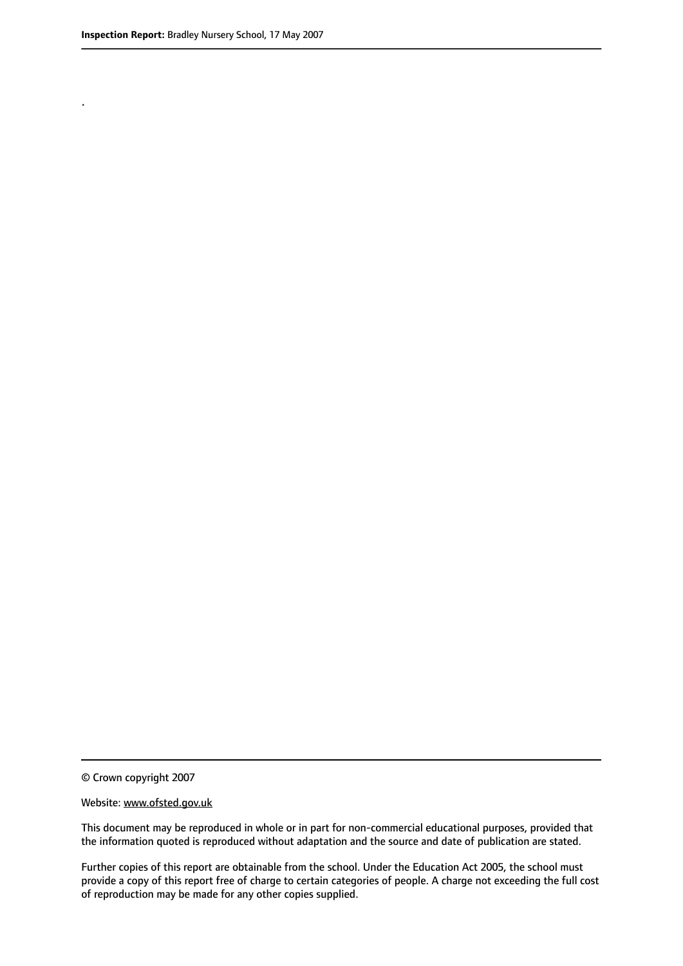.

© Crown copyright 2007

#### Website: www.ofsted.gov.uk

This document may be reproduced in whole or in part for non-commercial educational purposes, provided that the information quoted is reproduced without adaptation and the source and date of publication are stated.

Further copies of this report are obtainable from the school. Under the Education Act 2005, the school must provide a copy of this report free of charge to certain categories of people. A charge not exceeding the full cost of reproduction may be made for any other copies supplied.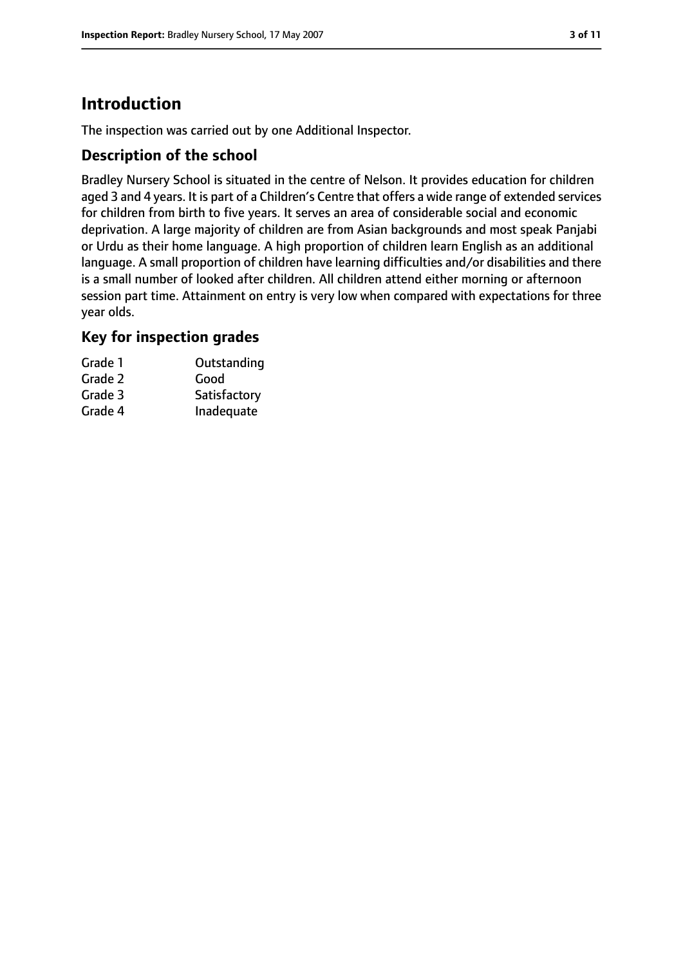# **Introduction**

The inspection was carried out by one Additional Inspector.

## **Description of the school**

Bradley Nursery School is situated in the centre of Nelson. It provides education for children aged 3 and 4 years. It is part of a Children's Centre that offers a wide range of extended services for children from birth to five years. It serves an area of considerable social and economic deprivation. A large majority of children are from Asian backgrounds and most speak Panjabi or Urdu as their home language. A high proportion of children learn English as an additional language. A small proportion of children have learning difficulties and/or disabilities and there is a small number of looked after children. All children attend either morning or afternoon session part time. Attainment on entry is very low when compared with expectations for three year olds.

## **Key for inspection grades**

| Grade 1 | Outstanding  |
|---------|--------------|
| Grade 2 | Good         |
| Grade 3 | Satisfactory |
| Grade 4 | Inadequate   |
|         |              |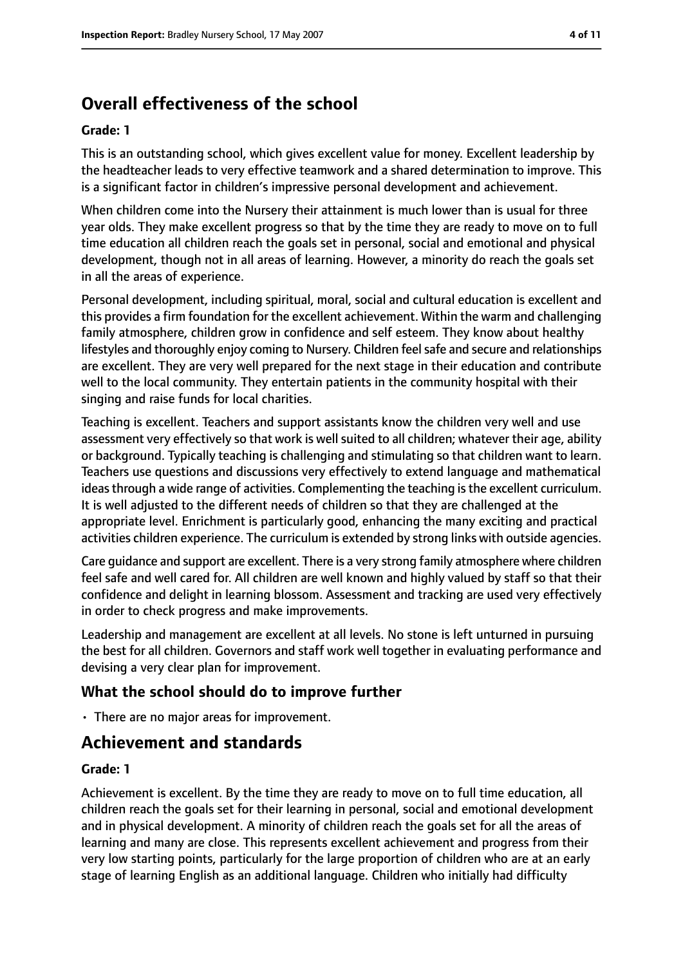# **Overall effectiveness of the school**

#### **Grade: 1**

This is an outstanding school, which gives excellent value for money. Excellent leadership by the headteacher leads to very effective teamwork and a shared determination to improve. This is a significant factor in children's impressive personal development and achievement.

When children come into the Nursery their attainment is much lower than is usual for three year olds. They make excellent progress so that by the time they are ready to move on to full time education all children reach the goals set in personal, social and emotional and physical development, though not in all areas of learning. However, a minority do reach the goals set in all the areas of experience.

Personal development, including spiritual, moral, social and cultural education is excellent and this provides a firm foundation for the excellent achievement. Within the warm and challenging family atmosphere, children grow in confidence and self esteem. They know about healthy lifestyles and thoroughly enjoy coming to Nursery. Children feel safe and secure and relationships are excellent. They are very well prepared for the next stage in their education and contribute well to the local community. They entertain patients in the community hospital with their singing and raise funds for local charities.

Teaching is excellent. Teachers and support assistants know the children very well and use assessment very effectively so that work is well suited to all children; whatever their age, ability or background. Typically teaching is challenging and stimulating so that children want to learn. Teachers use questions and discussions very effectively to extend language and mathematical ideas through a wide range of activities. Complementing the teaching is the excellent curriculum. It is well adjusted to the different needs of children so that they are challenged at the appropriate level. Enrichment is particularly good, enhancing the many exciting and practical activities children experience. The curriculum is extended by strong links with outside agencies.

Care guidance and support are excellent. There is a very strong family atmosphere where children feel safe and well cared for. All children are well known and highly valued by staff so that their confidence and delight in learning blossom. Assessment and tracking are used very effectively in order to check progress and make improvements.

Leadership and management are excellent at all levels. No stone is left unturned in pursuing the best for all children. Governors and staff work well together in evaluating performance and devising a very clear plan for improvement.

# **What the school should do to improve further**

• There are no major areas for improvement.

# **Achievement and standards**

#### **Grade: 1**

Achievement is excellent. By the time they are ready to move on to full time education, all children reach the goals set for their learning in personal, social and emotional development and in physical development. A minority of children reach the goals set for all the areas of learning and many are close. This represents excellent achievement and progress from their very low starting points, particularly for the large proportion of children who are at an early stage of learning English as an additional language. Children who initially had difficulty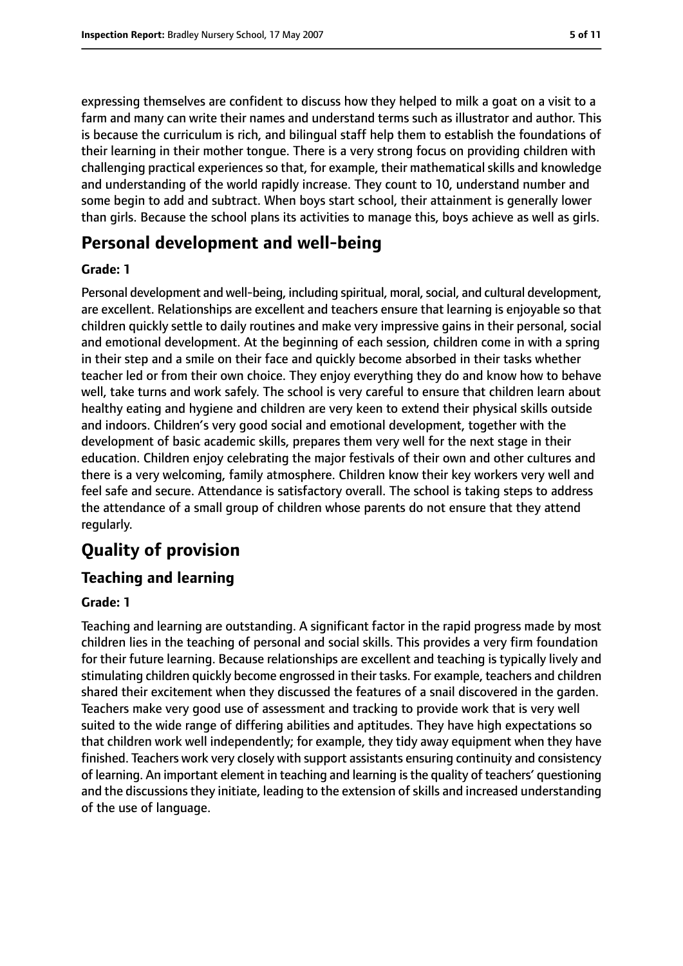expressing themselves are confident to discuss how they helped to milk a goat on a visit to a farm and many can write their names and understand terms such as illustrator and author. This is because the curriculum is rich, and bilingual staff help them to establish the foundations of their learning in their mother tongue. There is a very strong focus on providing children with challenging practical experiences so that, for example, their mathematical skills and knowledge and understanding of the world rapidly increase. They count to 10, understand number and some begin to add and subtract. When boys start school, their attainment is generally lower than girls. Because the school plans its activities to manage this, boys achieve as well as girls.

# **Personal development and well-being**

#### **Grade: 1**

Personal development and well-being, including spiritual, moral, social, and cultural development, are excellent. Relationships are excellent and teachers ensure that learning is enjoyable so that children quickly settle to daily routines and make very impressive gains in their personal, social and emotional development. At the beginning of each session, children come in with a spring in their step and a smile on their face and quickly become absorbed in their tasks whether teacher led or from their own choice. They enjoy everything they do and know how to behave well, take turns and work safely. The school is very careful to ensure that children learn about healthy eating and hygiene and children are very keen to extend their physical skills outside and indoors. Children's very good social and emotional development, together with the development of basic academic skills, prepares them very well for the next stage in their education. Children enjoy celebrating the major festivals of their own and other cultures and there is a very welcoming, family atmosphere. Children know their key workers very well and feel safe and secure. Attendance is satisfactory overall. The school is taking steps to address the attendance of a small group of children whose parents do not ensure that they attend regularly.

# **Quality of provision**

# **Teaching and learning**

## **Grade: 1**

Teaching and learning are outstanding. A significant factor in the rapid progress made by most children lies in the teaching of personal and social skills. This provides a very firm foundation for their future learning. Because relationships are excellent and teaching is typically lively and stimulating children quickly become engrossed in their tasks. For example, teachers and children shared their excitement when they discussed the features of a snail discovered in the garden. Teachers make very good use of assessment and tracking to provide work that is very well suited to the wide range of differing abilities and aptitudes. They have high expectations so that children work well independently; for example, they tidy away equipment when they have finished. Teachers work very closely with support assistants ensuring continuity and consistency of learning. An important element in teaching and learning isthe quality of teachers' questioning and the discussions they initiate, leading to the extension of skills and increased understanding of the use of language.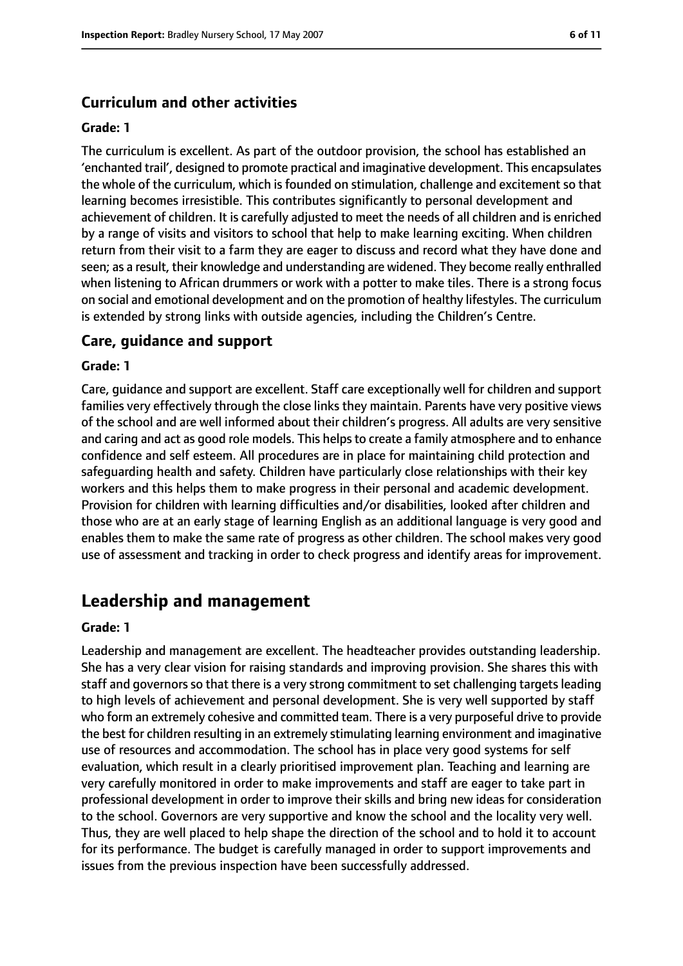## **Curriculum and other activities**

#### **Grade: 1**

The curriculum is excellent. As part of the outdoor provision, the school has established an 'enchanted trail', designed to promote practical and imaginative development. This encapsulates the whole of the curriculum, which is founded on stimulation, challenge and excitement so that learning becomes irresistible. This contributes significantly to personal development and achievement of children. It is carefully adjusted to meet the needs of all children and is enriched by a range of visits and visitors to school that help to make learning exciting. When children return from their visit to a farm they are eager to discuss and record what they have done and seen; as a result, their knowledge and understanding are widened. They become really enthralled when listening to African drummers or work with a potter to make tiles. There is a strong focus on social and emotional development and on the promotion of healthy lifestyles. The curriculum is extended by strong links with outside agencies, including the Children's Centre.

## **Care, guidance and support**

#### **Grade: 1**

Care, guidance and support are excellent. Staff care exceptionally well for children and support families very effectively through the close links they maintain. Parents have very positive views of the school and are well informed about their children's progress. All adults are very sensitive and caring and act as good role models. This helps to create a family atmosphere and to enhance confidence and self esteem. All procedures are in place for maintaining child protection and safeguarding health and safety. Children have particularly close relationships with their key workers and this helps them to make progress in their personal and academic development. Provision for children with learning difficulties and/or disabilities, looked after children and those who are at an early stage of learning English as an additional language is very good and enables them to make the same rate of progress as other children. The school makes very good use of assessment and tracking in order to check progress and identify areas for improvement.

# **Leadership and management**

#### **Grade: 1**

Leadership and management are excellent. The headteacher provides outstanding leadership. She has a very clear vision for raising standards and improving provision. She shares this with staff and governors so that there is a very strong commitment to set challenging targets leading to high levels of achievement and personal development. She is very well supported by staff who form an extremely cohesive and committed team. There is a very purposeful drive to provide the best for children resulting in an extremely stimulating learning environment and imaginative use of resources and accommodation. The school has in place very good systems for self evaluation, which result in a clearly prioritised improvement plan. Teaching and learning are very carefully monitored in order to make improvements and staff are eager to take part in professional development in order to improve their skills and bring new ideas for consideration to the school. Governors are very supportive and know the school and the locality very well. Thus, they are well placed to help shape the direction of the school and to hold it to account for its performance. The budget is carefully managed in order to support improvements and issues from the previous inspection have been successfully addressed.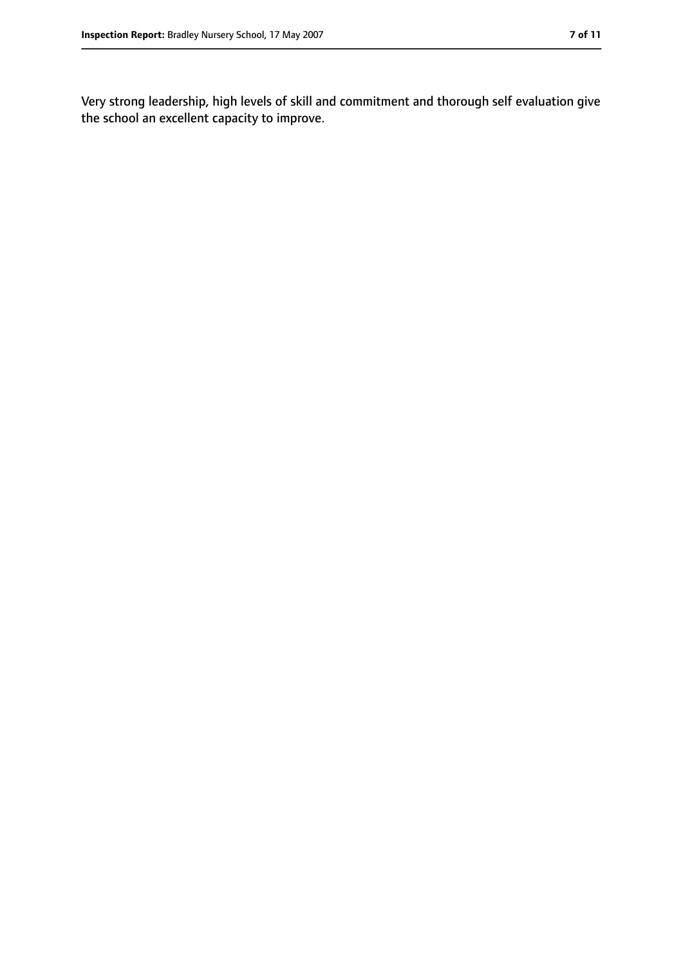Very strong leadership, high levels of skill and commitment and thorough self evaluation give the school an excellent capacity to improve.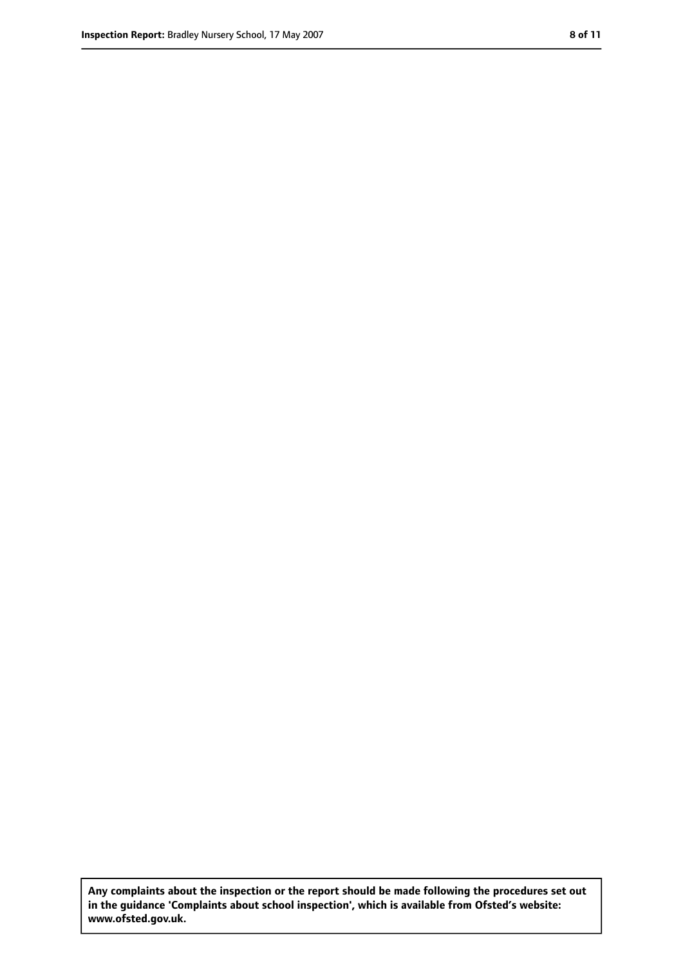**Any complaints about the inspection or the report should be made following the procedures set out in the guidance 'Complaints about school inspection', which is available from Ofsted's website: www.ofsted.gov.uk.**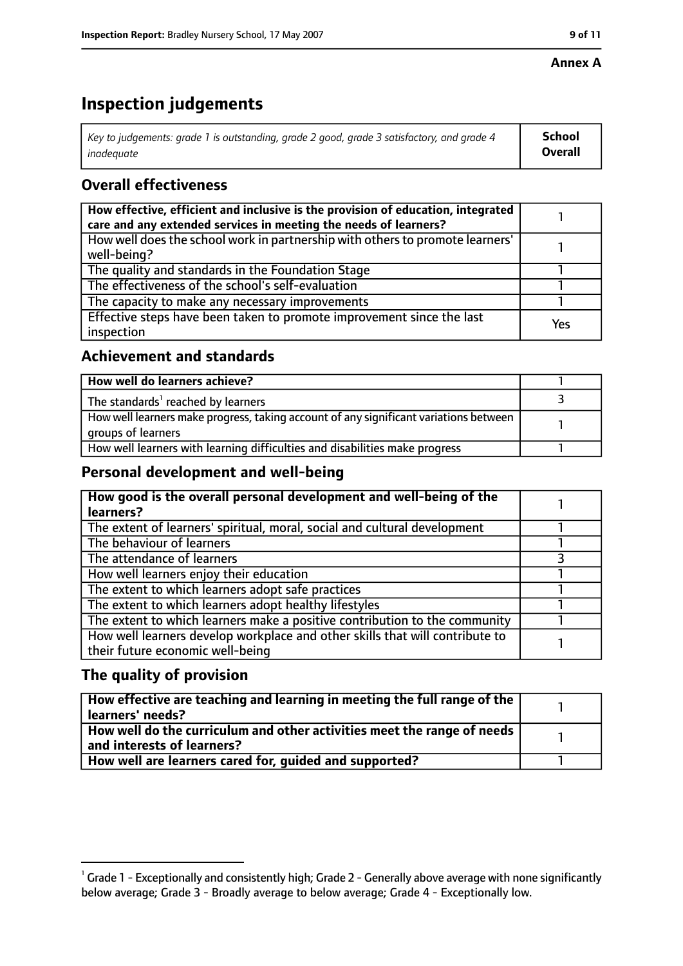#### **Annex A**

# **Inspection judgements**

| Key to judgements: grade 1 is outstanding, grade 2 good, grade 3 satisfactory, and grade 4 | School         |
|--------------------------------------------------------------------------------------------|----------------|
| inadeguate                                                                                 | <b>Overall</b> |

# **Overall effectiveness**

| How effective, efficient and inclusive is the provision of education, integrated<br>care and any extended services in meeting the needs of learners? |     |
|------------------------------------------------------------------------------------------------------------------------------------------------------|-----|
| How well does the school work in partnership with others to promote learners'<br>well-being?                                                         |     |
| The quality and standards in the Foundation Stage                                                                                                    |     |
| The effectiveness of the school's self-evaluation                                                                                                    |     |
| The capacity to make any necessary improvements                                                                                                      |     |
| Effective steps have been taken to promote improvement since the last<br>inspection                                                                  | Yes |

# **Achievement and standards**

| How well do learners achieve?                                                                               |  |
|-------------------------------------------------------------------------------------------------------------|--|
| The standards <sup>1</sup> reached by learners                                                              |  |
| How well learners make progress, taking account of any significant variations between<br>groups of learners |  |
| How well learners with learning difficulties and disabilities make progress                                 |  |

## **Personal development and well-being**

| How good is the overall personal development and well-being of the           |  |
|------------------------------------------------------------------------------|--|
| learners?                                                                    |  |
| The extent of learners' spiritual, moral, social and cultural development    |  |
| The behaviour of learners                                                    |  |
| The attendance of learners                                                   |  |
| How well learners enjoy their education                                      |  |
| The extent to which learners adopt safe practices                            |  |
| The extent to which learners adopt healthy lifestyles                        |  |
| The extent to which learners make a positive contribution to the community   |  |
| How well learners develop workplace and other skills that will contribute to |  |
| their future economic well-being                                             |  |

# **The quality of provision**

| $\mid$ How effective are teaching and learning in meeting the full range of the $\mid$<br>  learners' needs?               |  |
|----------------------------------------------------------------------------------------------------------------------------|--|
| $\mid$ How well do the curriculum and other activities meet the range of needs $\mid$<br>$\mid$ and interests of learners? |  |
| How well are learners cared for, guided and supported?                                                                     |  |

 $^1$  Grade 1 - Exceptionally and consistently high; Grade 2 - Generally above average with none significantly below average; Grade 3 - Broadly average to below average; Grade 4 - Exceptionally low.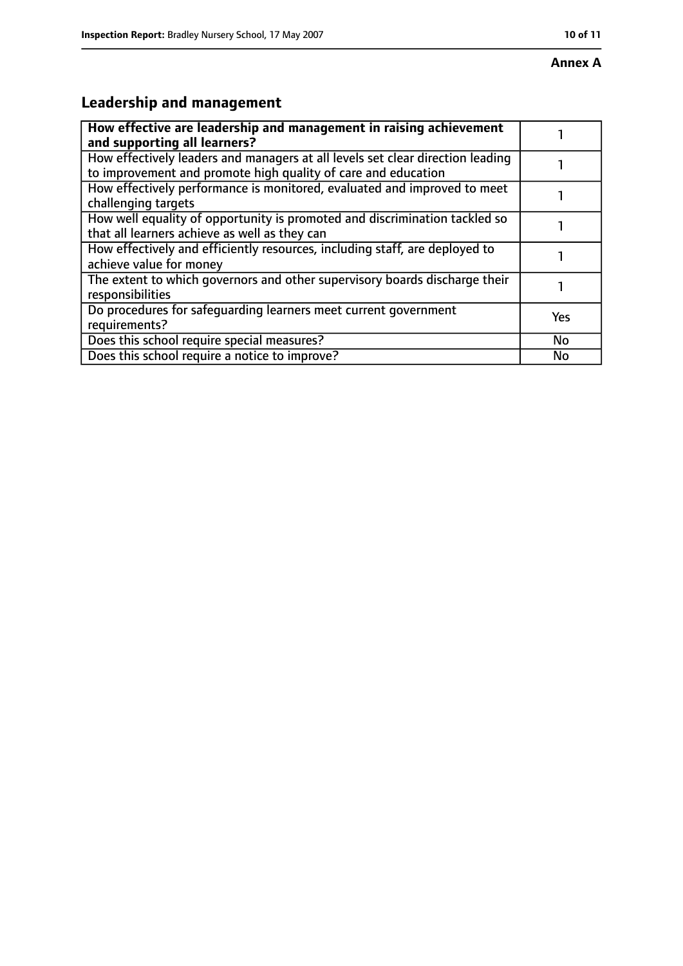# **Leadership and management**

| How effective are leadership and management in raising achievement<br>and supporting all learners?                                              |           |
|-------------------------------------------------------------------------------------------------------------------------------------------------|-----------|
| How effectively leaders and managers at all levels set clear direction leading<br>to improvement and promote high quality of care and education |           |
| How effectively performance is monitored, evaluated and improved to meet<br>challenging targets                                                 |           |
| How well equality of opportunity is promoted and discrimination tackled so<br>that all learners achieve as well as they can                     |           |
| How effectively and efficiently resources, including staff, are deployed to<br>achieve value for money                                          |           |
| The extent to which governors and other supervisory boards discharge their<br>responsibilities                                                  |           |
| Do procedures for safequarding learners meet current government<br>requirements?                                                                | Yes       |
| Does this school require special measures?                                                                                                      | <b>No</b> |
| Does this school require a notice to improve?                                                                                                   | No        |